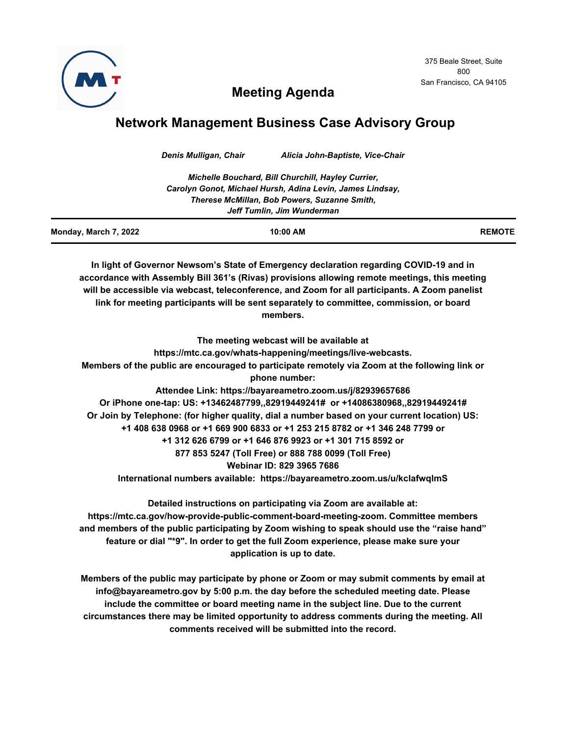

375 Beale Street, Suite 800 San Francisco, CA 94105

# **Meeting Agenda**

## **Network Management Business Case Advisory Group**

*Denis Mulligan, Chair Alicia John-Baptiste, Vice-Chair*

**In light of Governor Newsom's State of Emergency declaration regarding COVID-19 and in accordance with Assembly Bill 361's (Rivas) provisions allowing remote meetings, this meeting will be accessible via webcast, teleconference, and Zoom for all participants. A Zoom panelist link for meeting participants will be sent separately to committee, commission, or board members.**

**The meeting webcast will be available at https://mtc.ca.gov/whats-happening/meetings/live-webcasts. Members of the public are encouraged to participate remotely via Zoom at the following link or phone number: Attendee Link: https://bayareametro.zoom.us/j/82939657686 Or iPhone one-tap: US: +13462487799,,82919449241# or +14086380968,,82919449241# Or Join by Telephone: (for higher quality, dial a number based on your current location) US: +1 408 638 0968 or +1 669 900 6833 or +1 253 215 8782 or +1 346 248 7799 or +1 312 626 6799 or +1 646 876 9923 or +1 301 715 8592 or 877 853 5247 (Toll Free) or 888 788 0099 (Toll Free) Webinar ID: 829 3965 7686 International numbers available: https://bayareametro.zoom.us/u/kclafwqlmS**

**Detailed instructions on participating via Zoom are available at: https://mtc.ca.gov/how-provide-public-comment-board-meeting-zoom. Committee members and members of the public participating by Zoom wishing to speak should use the "raise hand" feature or dial "\*9". In order to get the full Zoom experience, please make sure your application is up to date.**

**Members of the public may participate by phone or Zoom or may submit comments by email at info@bayareametro.gov by 5:00 p.m. the day before the scheduled meeting date. Please include the committee or board meeting name in the subject line. Due to the current circumstances there may be limited opportunity to address comments during the meeting. All comments received will be submitted into the record.**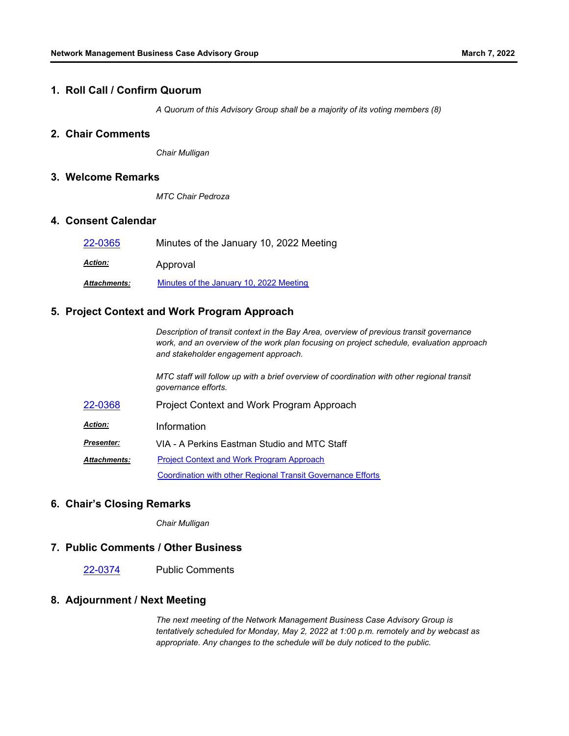#### **1. Roll Call / Confirm Quorum**

*A Quorum of this Advisory Group shall be a majority of its voting members (8)*

## **2. Chair Comments**

*Chair Mulligan*

#### **3. Welcome Remarks**

*MTC Chair Pedroza*

## **4. Consent Calendar**

| 22-0365             | Minutes of the January 10, 2022 Meeting |
|---------------------|-----------------------------------------|
| <b>Action:</b>      | Approval                                |
| <b>Attachments:</b> | Minutes of the January 10, 2022 Meeting |

## **5. Project Context and Work Program Approach**

*Description of transit context in the Bay Area, overview of previous transit governance work, and an overview of the work plan focusing on project schedule, evaluation approach and stakeholder engagement approach.* 

*MTC staff will follow up with a brief overview of coordination with other regional transit governance efforts.*

- [22-0368](http://mtc.legistar.com/gateway.aspx?m=l&id=/matter.aspx?key=23627) Project Context and Work Program Approach
- *Action:* Information

*Presenter:* VIA - A Perkins Eastman Studio and MTC Staff

[Project Context and Work Program Approach](http://mtc.legistar.com/gateway.aspx?M=F&ID=3a4ae4aa-3b2e-4bbb-b7ab-5b93a1964319.pdf) [Coordination with other Regional Transit Governance Efforts](http://mtc.legistar.com/gateway.aspx?M=F&ID=e2a132b9-0701-4532-8a64-71ed5155a087.pdf) *Attachments:*

#### **6. Chair's Closing Remarks**

*Chair Mulligan*

#### **7. Public Comments / Other Business**

[22-0374](http://mtc.legistar.com/gateway.aspx?m=l&id=/matter.aspx?key=23633) Public Comments

## **8. Adjournment / Next Meeting**

*The next meeting of the Network Management Business Case Advisory Group is tentatively scheduled for Monday, May 2, 2022 at 1:00 p.m. remotely and by webcast as appropriate. Any changes to the schedule will be duly noticed to the public.*